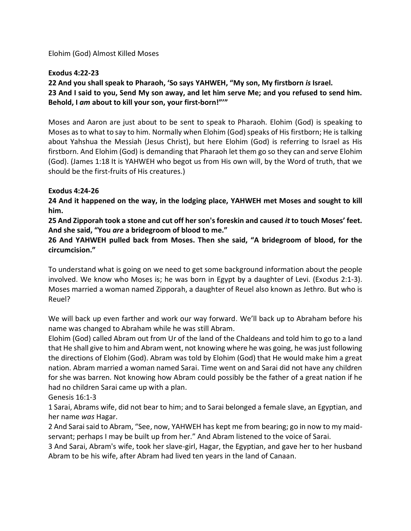Elohim (God) Almost Killed Moses

## **Exodus 4:22-23**

**22 And you shall speak to Pharaoh, 'So says YAHWEH, "My son, My firstborn** *is* **Israel. 23 And I said to you, Send My son away, and let him serve Me; and you refused to send him. Behold, I** *am* **about to kill your son, your first-born!"'"**

Moses and Aaron are just about to be sent to speak to Pharaoh. Elohim (God) is speaking to Moses as to what to say to him. Normally when Elohim (God) speaks of His firstborn; He is talking about Yahshua the Messiah (Jesus Christ), but here Elohim (God) is referring to Israel as His firstborn. And Elohim (God) is demanding that Pharaoh let them go so they can and serve Elohim (God). (James 1:18 It is YAHWEH who begot us from His own will, by the Word of truth, that we should be the first-fruits of His creatures.)

## **Exodus 4:24-26**

**24 And it happened on the way, in the lodging place, YAHWEH met Moses and sought to kill him.**

**25 And Zipporah took a stone and cut off her son's foreskin and caused** *it* **to touch Moses' feet. And she said, "You** *are* **a bridegroom of blood to me."**

**26 And YAHWEH pulled back from Moses. Then she said, "A bridegroom of blood, for the circumcision."**

To understand what is going on we need to get some background information about the people involved. We know who Moses is; he was born in Egypt by a daughter of Levi. (Exodus 2:1-3). Moses married a woman named Zipporah, a daughter of Reuel also known as Jethro. But who is Reuel?

We will back up even farther and work our way forward. We'll back up to Abraham before his name was changed to Abraham while he was still Abram.

Elohim (God) called Abram out from Ur of the land of the Chaldeans and told him to go to a land that He shall give to him and Abram went, not knowing where he was going, he was just following the directions of Elohim (God). Abram was told by Elohim (God) that He would make him a great nation. Abram married a woman named Sarai. Time went on and Sarai did not have any children for she was barren. Not knowing how Abram could possibly be the father of a great nation if he had no children Sarai came up with a plan.

Genesis 16:1-3

1 Sarai, Abrams wife, did not bear to him; and to Sarai belonged a female slave, an Egyptian, and her name *was* Hagar.

2 And Sarai said to Abram, "See, now, YAHWEH has kept me from bearing; go in now to my maidservant; perhaps I may be built up from her." And Abram listened to the voice of Sarai.

3 And Sarai, Abram's wife, took her slave-girl, Hagar, the Egyptian, and gave her to her husband Abram to be his wife, after Abram had lived ten years in the land of Canaan.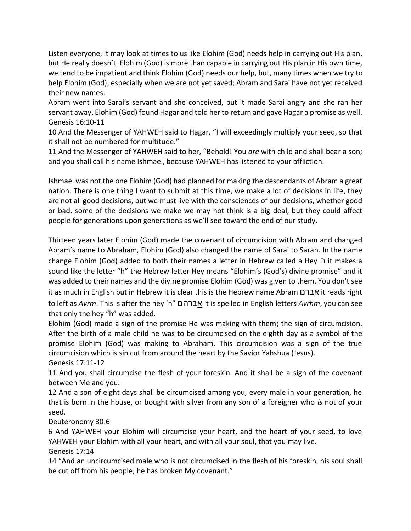Listen everyone, it may look at times to us like Elohim (God) needs help in carrying out His plan, but He really doesn't. Elohim (God) is more than capable in carrying out His plan in His own time, we tend to be impatient and think Elohim (God) needs our help, but, many times when we try to help Elohim (God), especially when we are not yet saved; Abram and Sarai have not yet received their new names.

Abram went into Sarai's servant and she conceived, but it made Sarai angry and she ran her servant away, Elohim (God) found Hagar and told her to return and gave Hagar a promise as well. Genesis 16:10-11

10 And the Messenger of YAHWEH said to Hagar, "I will exceedingly multiply your seed, so that it shall not be numbered for multitude."

11 And the Messenger of YAHWEH said to her, "Behold! You *are* with child and shall bear a son; and you shall call his name Ishmael, because YAHWEH has listened to your affliction.

Ishmael was not the one Elohim (God) had planned for making the descendants of Abram a great nation. There is one thing I want to submit at this time, we make a lot of decisions in life, they are not all good decisions, but we must live with the consciences of our decisions, whether good or bad, some of the decisions we make we may not think is a big deal, but they could affect people for generations upon generations as we'll see toward the end of our study.

Thirteen years later Elohim (God) made the covenant of circumcision with Abram and changed Abram's name to Abraham, Elohim (God) also changed the name of Sarai to Sarah. In the name change Elohim (God) added to both their names a letter in Hebrew called a Hey ה it makes a sound like the letter "h" the Hebrew letter Hey means "Elohim's (God's) divine promise" and it was added to their names and the divine promise Elohim (God) was given to them. You don't see it as much in English but in Hebrew it is clear this is the Hebrew name Abram אברם it reads right to left as *Avrm*. This is after the hey 'h" אברהם it is spelled in English letters *Avrhm*, you can see that only the hey "h" was added.

Elohim (God) made a sign of the promise He was making with them; the sign of circumcision. After the birth of a male child he was to be circumcised on the eighth day as a symbol of the promise Elohim (God) was making to Abraham. This circumcision was a sign of the true circumcision which is sin cut from around the heart by the Savior Yahshua (Jesus).

Genesis 17:11-12

11 And you shall circumcise the flesh of your foreskin. And it shall be a sign of the covenant between Me and you.

12 And a son of eight days shall be circumcised among you, every male in your generation, he that is born in the house, or bought with silver from any son of a foreigner who *is* not of your seed.

Deuteronomy 30:6

6 And YAHWEH your Elohim will circumcise your heart, and the heart of your seed, to love YAHWEH your Elohim with all your heart, and with all your soul, that you may live.

Genesis 17:14

14 "And an uncircumcised male who is not circumcised in the flesh of his foreskin, his soul shall be cut off from his people; he has broken My covenant."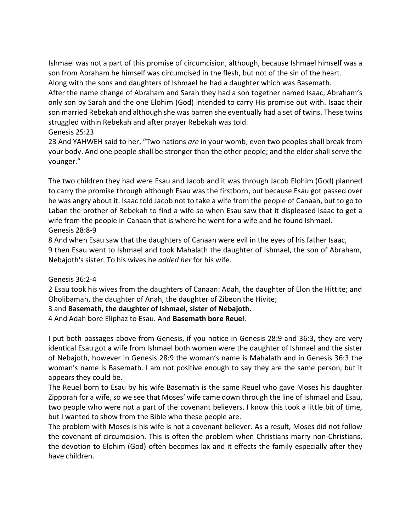Ishmael was not a part of this promise of circumcision, although, because Ishmael himself was a son from Abraham he himself was circumcised in the flesh, but not of the sin of the heart.

Along with the sons and daughters of Ishmael he had a daughter which was Basemath.

After the name change of Abraham and Sarah they had a son together named Isaac, Abraham's only son by Sarah and the one Elohim (God) intended to carry His promise out with. Isaac their son married Rebekah and although she was barren she eventually had a set of twins. These twins struggled within Rebekah and after prayer Rebekah was told.

## Genesis 25:23

23 And YAHWEH said to her, "Two nations *are* in your womb; even two peoples shall break from your body. And one people shall be stronger than the other people; and the elder shall serve the younger."

The two children they had were Esau and Jacob and it was through Jacob Elohim (God) planned to carry the promise through although Esau was the firstborn, but because Esau got passed over he was angry about it. Isaac told Jacob not to take a wife from the people of Canaan, but to go to Laban the brother of Rebekah to find a wife so when Esau saw that it displeased Isaac to get a wife from the people in Canaan that is where he went for a wife and he found Ishmael. Genesis 28:8-9

8 And when Esau saw that the daughters of Canaan were evil in the eyes of his father Isaac, 9 then Esau went to Ishmael and took Mahalath the daughter of Ishmael, the son of Abraham, Nebajoth's sister. To his wives he *added her* for his wife.

## Genesis 36:2-4

2 Esau took his wives from the daughters of Canaan: Adah, the daughter of Elon the Hittite; and Oholibamah, the daughter of Anah, the daughter of Zibeon the Hivite;

3 and **Basemath, the daughter of Ishmael, sister of Nebajoth.**

4 And Adah bore Eliphaz to Esau. And **Basemath bore Reuel**.

I put both passages above from Genesis, if you notice in Genesis 28:9 and 36:3, they are very identical Esau got a wife from Ishmael both women were the daughter of Ishmael and the sister of Nebajoth, however in Genesis 28:9 the woman's name is Mahalath and in Genesis 36:3 the woman's name is Basemath. I am not positive enough to say they are the same person, but it appears they could be.

The Reuel born to Esau by his wife Basemath is the same Reuel who gave Moses his daughter Zipporah for a wife, so we see that Moses' wife came down through the line of Ishmael and Esau, two people who were not a part of the covenant believers. I know this took a little bit of time, but I wanted to show from the Bible who these people are.

The problem with Moses is his wife is not a covenant believer. As a result, Moses did not follow the covenant of circumcision. This is often the problem when Christians marry non-Christians, the devotion to Elohim (God) often becomes lax and it effects the family especially after they have children.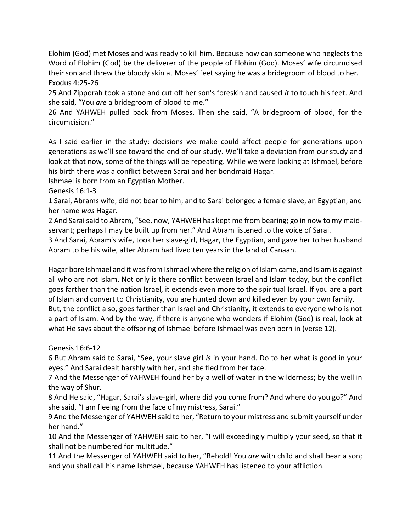Elohim (God) met Moses and was ready to kill him. Because how can someone who neglects the Word of Elohim (God) be the deliverer of the people of Elohim (God). Moses' wife circumcised their son and threw the bloody skin at Moses' feet saying he was a bridegroom of blood to her. Exodus 4:25-26

25 And Zipporah took a stone and cut off her son's foreskin and caused *it* to touch his feet. And she said, "You *are* a bridegroom of blood to me."

26 And YAHWEH pulled back from Moses. Then she said, "A bridegroom of blood, for the circumcision."

As I said earlier in the study: decisions we make could affect people for generations upon generations as we'll see toward the end of our study. We'll take a deviation from our study and look at that now, some of the things will be repeating. While we were looking at Ishmael, before his birth there was a conflict between Sarai and her bondmaid Hagar.

Ishmael is born from an Egyptian Mother.

Genesis 16:1-3

1 Sarai, Abrams wife, did not bear to him; and to Sarai belonged a female slave, an Egyptian, and her name *was* Hagar.

2 And Sarai said to Abram, "See, now, YAHWEH has kept me from bearing; go in now to my maidservant; perhaps I may be built up from her." And Abram listened to the voice of Sarai.

3 And Sarai, Abram's wife, took her slave-girl, Hagar, the Egyptian, and gave her to her husband Abram to be his wife, after Abram had lived ten years in the land of Canaan.

Hagar bore Ishmael and it wasfrom Ishmael where the religion of Islam came, and Islam is against all who are not Islam. Not only is there conflict between Israel and Islam today, but the conflict goes farther than the nation Israel, it extends even more to the spiritual Israel. If you are a part of Islam and convert to Christianity, you are hunted down and killed even by your own family. But, the conflict also, goes farther than Israel and Christianity, it extends to everyone who is not a part of Islam. And by the way, if there is anyone who wonders if Elohim (God) is real, look at what He says about the offspring of Ishmael before Ishmael was even born in (verse 12).

Genesis 16:6-12

6 But Abram said to Sarai, "See, your slave girl *is* in your hand. Do to her what is good in your eyes." And Sarai dealt harshly with her, and she fled from her face.

7 And the Messenger of YAHWEH found her by a well of water in the wilderness; by the well in the way of Shur.

8 And He said, "Hagar, Sarai's slave-girl, where did you come from? And where do you go?" And she said, "I am fleeing from the face of my mistress, Sarai."

9 And the Messenger of YAHWEH said to her, "Return to your mistress and submit yourself under her hand."

10 And the Messenger of YAHWEH said to her, "I will exceedingly multiply your seed, so that it shall not be numbered for multitude."

11 And the Messenger of YAHWEH said to her, "Behold! You *are* with child and shall bear a son; and you shall call his name Ishmael, because YAHWEH has listened to your affliction.